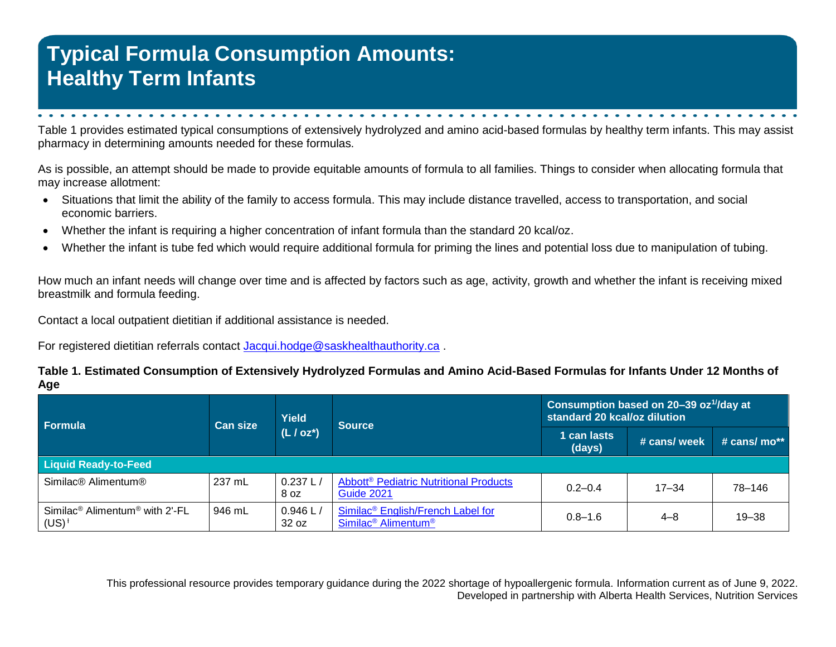## **Typical Formula Consumption Amounts: Healthy Term Infants**

Table 1 provides estimated typical consumptions of extensively hydrolyzed and amino acid-based formulas by healthy term infants. This may assist pharmacy in determining amounts needed for these formulas.

As is possible, an attempt should be made to provide equitable amounts of formula to all families. Things to consider when allocating formula that may increase allotment:

- Situations that limit the ability of the family to access formula. This may include distance travelled, access to transportation, and social economic barriers.
- Whether the infant is requiring a higher concentration of infant formula than the standard 20 kcal/oz.
- Whether the infant is tube fed which would require additional formula for priming the lines and potential loss due to manipulation of tubing.

How much an infant needs will change over time and is affected by factors such as age, activity, growth and whether the infant is receiving mixed breastmilk and formula feeding.

Contact a local outpatient dietitian if additional assistance is needed.

For registered dietitian referrals contact [Jacqui.hodge@saskhealthauthority.ca](mailto:Jacqui.hodge@saskhealthauthority.ca).

## **Table 1. Estimated Consumption of Extensively Hydrolyzed Formulas and Amino Acid-Based Formulas for Infants Under 12 Months of Age**

| Formula                                                            | <b>Can size</b> | <b>Yield</b><br>$(L / oz^*)$ | <b>Source</b>                                                                                | Consumption based on 20-39 oz <sup>1/</sup> /day at<br>standard 20 kcal/oz dilution |              |                   |
|--------------------------------------------------------------------|-----------------|------------------------------|----------------------------------------------------------------------------------------------|-------------------------------------------------------------------------------------|--------------|-------------------|
|                                                                    |                 |                              |                                                                                              | 1 can lasts<br>(days)                                                               | # cans/ week | # cans/ $mo^{**}$ |
| <b>Liquid Ready-to-Feed</b>                                        |                 |                              |                                                                                              |                                                                                     |              |                   |
| Similac® Alimentum®                                                | 237 mL          | 0.237 L<br>8 oz              | <b>Abbott<sup>®</sup> Pediatric Nutritional Products</b><br><b>Guide 2021</b>                | $0.2 - 0.4$                                                                         | $17 - 34$    | 78-146            |
| Similac <sup>®</sup> Alimentum <sup>®</sup> with 2'-FL<br>$(US)^+$ | 946 mL          | 0.946 L<br>32 oz             | Similac <sup>®</sup> English/French Label for<br>Similac <sup>®</sup> Alimentum <sup>®</sup> | $0.8 - 1.6$                                                                         | $4 - 8$      | $19 - 38$         |

This professional resource provides temporary guidance during the 2022 shortage of hypoallergenic formula. Information current as of June 9, 2022. Developed in partnership with Alberta Health Services, Nutrition Services